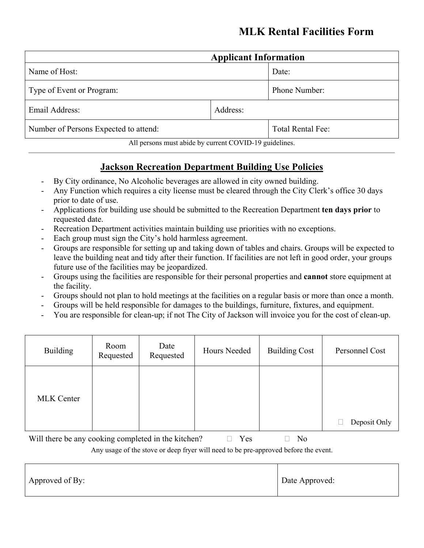# **MLK Rental Facilities Form**

| Date:                    |          |
|--------------------------|----------|
| Phone Number:            |          |
|                          |          |
| <b>Total Rental Fee:</b> |          |
|                          | Address: |

All persons must abide by current COVID-19 guidelines.

# **Jackson Recreation Department Building Use Policies**

- By City ordinance, No Alcoholic beverages are allowed in city owned building.
- Any Function which requires a city license must be cleared through the City Clerk's office 30 days prior to date of use.
- Applications for building use should be submitted to the Recreation Department **ten days prior** to requested date.
- Recreation Department activities maintain building use priorities with no exceptions.
- Each group must sign the City's hold harmless agreement.
- Groups are responsible for setting up and taking down of tables and chairs. Groups will be expected to leave the building neat and tidy after their function. If facilities are not left in good order, your groups future use of the facilities may be jeopardized.
- Groups using the facilities are responsible for their personal properties and **cannot** store equipment at the facility.
- Groups should not plan to hold meetings at the facilities on a regular basis or more than once a month.
- Groups will be held responsible for damages to the buildings, furniture, fixtures, and equipment.
- You are responsible for clean-up; if not The City of Jackson will invoice you for the cost of clean-up.

| <b>Building</b>   | Room<br>Requested | Date<br>Requested | Hours Needed | <b>Building Cost</b> | Personnel Cost |
|-------------------|-------------------|-------------------|--------------|----------------------|----------------|
| <b>MLK</b> Center |                   |                   |              |                      | Deposit Only   |

Will there be any cooking completed in the kitchen?  $\Box$  Yes  $\Box$  No

Any usage of the stove or deep fryer will need to be pre-approved before the event.

| Approved of By: | Date Approved: |
|-----------------|----------------|
|-----------------|----------------|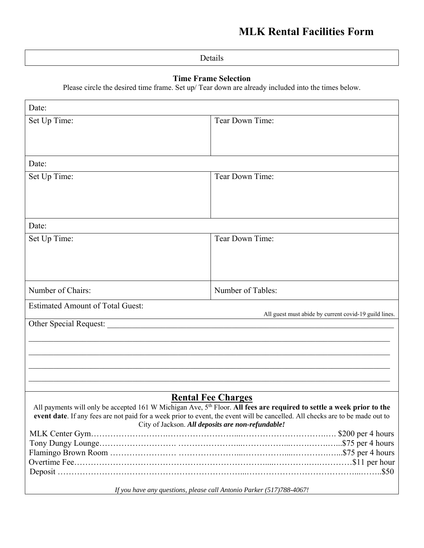| та1<br>۰ |
|----------|
|          |

### **Time Frame Selection**

Please circle the desired time frame. Set up/ Tear down are already included into the times below.

| Date:                                                                                                                                                                                                                                                    |                                                       |  |  |
|----------------------------------------------------------------------------------------------------------------------------------------------------------------------------------------------------------------------------------------------------------|-------------------------------------------------------|--|--|
| Set Up Time:                                                                                                                                                                                                                                             | Tear Down Time:                                       |  |  |
|                                                                                                                                                                                                                                                          |                                                       |  |  |
|                                                                                                                                                                                                                                                          |                                                       |  |  |
|                                                                                                                                                                                                                                                          |                                                       |  |  |
| Date:                                                                                                                                                                                                                                                    |                                                       |  |  |
| Set Up Time:                                                                                                                                                                                                                                             | Tear Down Time:                                       |  |  |
|                                                                                                                                                                                                                                                          |                                                       |  |  |
|                                                                                                                                                                                                                                                          |                                                       |  |  |
|                                                                                                                                                                                                                                                          |                                                       |  |  |
| Date:                                                                                                                                                                                                                                                    |                                                       |  |  |
| Set Up Time:                                                                                                                                                                                                                                             | Tear Down Time:                                       |  |  |
|                                                                                                                                                                                                                                                          |                                                       |  |  |
|                                                                                                                                                                                                                                                          |                                                       |  |  |
|                                                                                                                                                                                                                                                          |                                                       |  |  |
| Number of Chairs:                                                                                                                                                                                                                                        | Number of Tables:                                     |  |  |
| <b>Estimated Amount of Total Guest:</b>                                                                                                                                                                                                                  |                                                       |  |  |
|                                                                                                                                                                                                                                                          | All guest must abide by current covid-19 guild lines. |  |  |
| Other Special Request:                                                                                                                                                                                                                                   |                                                       |  |  |
|                                                                                                                                                                                                                                                          |                                                       |  |  |
|                                                                                                                                                                                                                                                          |                                                       |  |  |
|                                                                                                                                                                                                                                                          |                                                       |  |  |
|                                                                                                                                                                                                                                                          |                                                       |  |  |
|                                                                                                                                                                                                                                                          |                                                       |  |  |
| <b>Rental Fee Charges</b>                                                                                                                                                                                                                                |                                                       |  |  |
| All payments will only be accepted 161 W Michigan Ave, $5th$ Floor. All fees are required to settle a week prior to the<br>event date. If any fees are not paid for a week prior to event, the event will be cancelled. All checks are to be made out to |                                                       |  |  |
| City of Jackson. All deposits are non-refundable!                                                                                                                                                                                                        |                                                       |  |  |
|                                                                                                                                                                                                                                                          |                                                       |  |  |
|                                                                                                                                                                                                                                                          |                                                       |  |  |
|                                                                                                                                                                                                                                                          |                                                       |  |  |
|                                                                                                                                                                                                                                                          |                                                       |  |  |
|                                                                                                                                                                                                                                                          |                                                       |  |  |
| If you have any questions, please call Antonio Parker (517)788-4067!                                                                                                                                                                                     |                                                       |  |  |